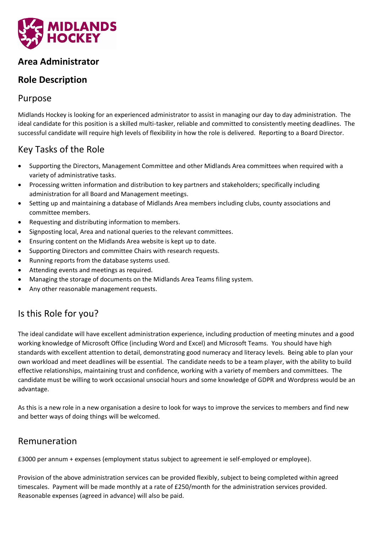

## **Area Administrator**

# **Role Description**

#### Purpose

Midlands Hockey is looking for an experienced administrator to assist in managing our day to day administration. The ideal candidate for this position is a skilled multi-tasker, reliable and committed to consistently meeting deadlines. The successful candidate will require high levels of flexibility in how the role is delivered. Reporting to a Board Director.

## Key Tasks of the Role

- Supporting the Directors, Management Committee and other Midlands Area committees when required with a variety of administrative tasks.
- Processing written information and distribution to key partners and stakeholders; specifically including administration for all Board and Management meetings.
- Setting up and maintaining a database of Midlands Area members including clubs, county associations and committee members.
- Requesting and distributing information to members.
- Signposting local, Area and national queries to the relevant committees.
- Ensuring content on the Midlands Area website is kept up to date.
- Supporting Directors and committee Chairs with research requests.
- Running reports from the database systems used.
- Attending events and meetings as required.
- Managing the storage of documents on the Midlands Area Teams filing system.
- Any other reasonable management requests.

# Is this Role for you?

The ideal candidate will have excellent administration experience, including production of meeting minutes and a good working knowledge of Microsoft Office (including Word and Excel) and Microsoft Teams. You should have high standards with excellent attention to detail, demonstrating good numeracy and literacy levels. Being able to plan your own workload and meet deadlines will be essential. The candidate needs to be a team player, with the ability to build effective relationships, maintaining trust and confidence, working with a variety of members and committees. The candidate must be willing to work occasional unsocial hours and some knowledge of GDPR and Wordpress would be an advantage.

As this is a new role in a new organisation a desire to look for ways to improve the services to members and find new and better ways of doing things will be welcomed.

#### Remuneration

£3000 per annum + expenses (employment status subject to agreement ie self-employed or employee).

Provision of the above administration services can be provided flexibly, subject to being completed within agreed timescales. Payment will be made monthly at a rate of £250/month for the administration services provided. Reasonable expenses (agreed in advance) will also be paid.